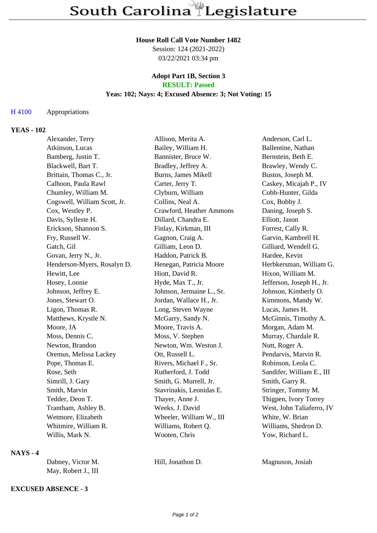#### **House Roll Call Vote Number 1482**

Session: 124 (2021-2022) 03/22/2021 03:34 pm

#### **Adopt Part 1B, Section 3 RESULT: Passed**

# **Yeas: 102; Nays: 4; Excused Absence: 3; Not Voting: 15**

## H 4100 Appropriations

## **YEAS - 102**

| Alexander, Terry             | Allison, Merita A.        | Anderson, Carl L.         |
|------------------------------|---------------------------|---------------------------|
| Atkinson, Lucas              | Bailey, William H.        | Ballentine, Nathan        |
| Bamberg, Justin T.           | Bannister, Bruce W.       | Bernstein, Beth E.        |
| Blackwell, Bart T.           | Bradley, Jeffrey A.       | Brawley, Wendy C.         |
| Brittain, Thomas C., Jr.     | Burns, James Mikell       | Bustos, Joseph M.         |
| Calhoon, Paula Rawl          | Carter, Jerry T.          | Caskey, Micajah P., IV    |
| Chumley, William M.          | Clyburn, William          | Cobb-Hunter, Gilda        |
| Cogswell, William Scott, Jr. | Collins, Neal A.          | Cox, Bobby J.             |
| Cox, Westley P.              | Crawford, Heather Ammons  | Daning, Joseph S.         |
| Davis, Sylleste H.           | Dillard, Chandra E.       | Elliott, Jason            |
| Erickson, Shannon S.         | Finlay, Kirkman, III      | Forrest, Cally R.         |
| Fry, Russell W.              | Gagnon, Craig A.          | Garvin, Kambrell H.       |
| Gatch, Gil                   | Gilliam, Leon D.          | Gilliard, Wendell G.      |
| Govan, Jerry N., Jr.         | Haddon, Patrick B.        | Hardee, Kevin             |
| Henderson-Myers, Rosalyn D.  | Henegan, Patricia Moore   | Herbkersman, William G.   |
| Hewitt, Lee                  | Hiott, David R.           | Hixon, William M.         |
| Hosey, Lonnie                | Hyde, Max T., Jr.         | Jefferson, Joseph H., Jr. |
| Johnson, Jeffrey E.          | Johnson, Jermaine L., Sr. | Johnson, Kimberly O.      |
| Jones, Stewart O.            | Jordan, Wallace H., Jr.   | Kimmons, Mandy W.         |
| Ligon, Thomas R.             | Long, Steven Wayne        | Lucas, James H.           |
| Matthews, Krystle N.         | McGarry, Sandy N.         | McGinnis, Timothy A.      |
| Moore, JA                    | Moore, Travis A.          | Morgan, Adam M.           |
| Moss, Dennis C.              | Moss, V. Stephen          | Murray, Chardale R.       |
| Newton, Brandon              | Newton, Wm. Weston J.     | Nutt, Roger A.            |
| Oremus, Melissa Lackey       | Ott, Russell L.           | Pendarvis, Marvin R.      |
| Pope, Thomas E.              | Rivers, Michael F., Sr.   | Robinson, Leola C.        |
| Rose, Seth                   | Rutherford, J. Todd       | Sandifer, William E., III |
| Simrill, J. Gary             | Smith, G. Murrell, Jr.    | Smith, Garry R.           |
| Smith, Marvin                | Stavrinakis, Leonidas E.  | Stringer, Tommy M.        |
| Tedder, Deon T.              | Thayer, Anne J.           | Thigpen, Ivory Torrey     |
| Trantham, Ashley B.          | Weeks, J. David           | West, John Taliaferro, IV |
| Wetmore, Elizabeth           | Wheeler, William W., III  | White, W. Brian           |
| Whitmire, William R.         | Williams, Robert Q.       | Williams, Shedron D.      |
| Willis, Mark N.              | Wooten, Chris             | Yow, Richard L.           |
|                              |                           |                           |

## **NAYS - 4**

| Dabney, Victor M.   | Hill, Jonathon D. |  |
|---------------------|-------------------|--|
| May, Robert J., III |                   |  |

# Magnuson, Josiah

# **EXCUSED ABSENCE - 3**